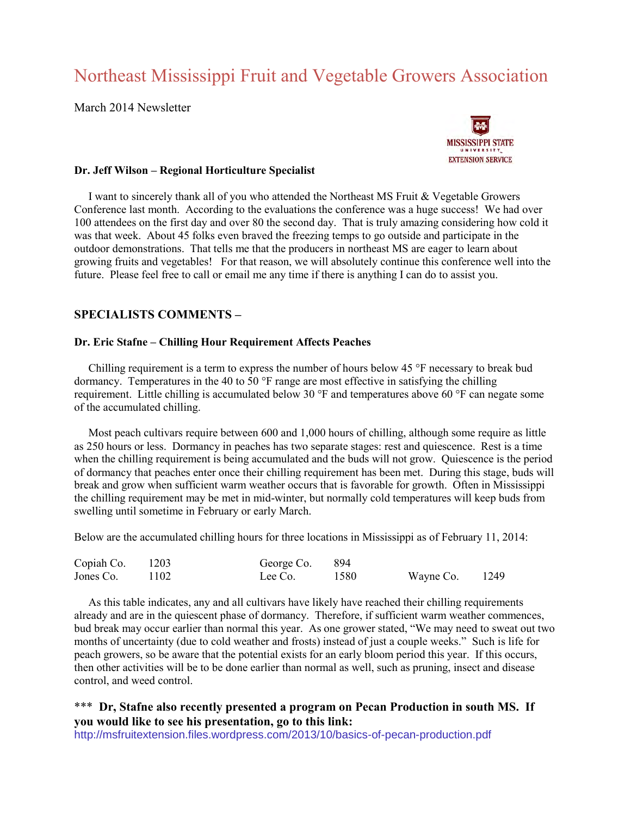# Northeast Mississippi Fruit and Vegetable Growers Association

March 2014 Newsletter



## **Dr. Jeff Wilson – Regional Horticulture Specialist**

 I want to sincerely thank all of you who attended the Northeast MS Fruit & Vegetable Growers Conference last month. According to the evaluations the conference was a huge success! We had over 100 attendees on the first day and over 80 the second day. That is truly amazing considering how cold it was that week. About 45 folks even braved the freezing temps to go outside and participate in the outdoor demonstrations. That tells me that the producers in northeast MS are eager to learn about growing fruits and vegetables! For that reason, we will absolutely continue this conference well into the future. Please feel free to call or email me any time if there is anything I can do to assist you.

## **SPECIALISTS COMMENTS –**

#### **Dr. Eric Stafne – Chilling Hour Requirement Affects Peaches**

 Chilling requirement is a term to express the number of hours below 45 °F necessary to break bud dormancy. Temperatures in the 40 to 50 °F range are most effective in satisfying the chilling requirement. Little chilling is accumulated below 30 °F and temperatures above 60 °F can negate some of the accumulated chilling.

 Most peach cultivars require between 600 and 1,000 hours of chilling, although some require as little as 250 hours or less. Dormancy in peaches has two separate stages: rest and quiescence. Rest is a time when the chilling requirement is being accumulated and the buds will not grow. Quiescence is the period of dormancy that peaches enter once their chilling requirement has been met. During this stage, buds will break and grow when sufficient warm weather occurs that is favorable for growth. Often in Mississippi the chilling requirement may be met in mid-winter, but normally cold temperatures will keep buds from swelling until sometime in February or early March.

Below are the accumulated chilling hours for three locations in Mississippi as of February 11, 2014:

| Copiah Co. | 1203 | George Co. 894 |      |                  |  |
|------------|------|----------------|------|------------------|--|
| Jones Co.  | 1102 | Lee Co.        | 1580 | Wayne Co. $1249$ |  |

 As this table indicates, any and all cultivars have likely have reached their chilling requirements already and are in the quiescent phase of dormancy. Therefore, if sufficient warm weather commences, bud break may occur earlier than normal this year. As one grower stated, "We may need to sweat out two months of uncertainty (due to cold weather and frosts) instead of just a couple weeks." Such is life for peach growers, so be aware that the potential exists for an early bloom period this year. If this occurs, then other activities will be to be done earlier than normal as well, such as pruning, insect and disease control, and weed control.

# \*\*\* Dr, Stafne also recently presented a program on Pecan Production in south MS. If **you would like to see his presentation, go to this link:**

<http://msfruitextension.files.wordpress.com/2013/10/basics-of-pecan-production.pdf>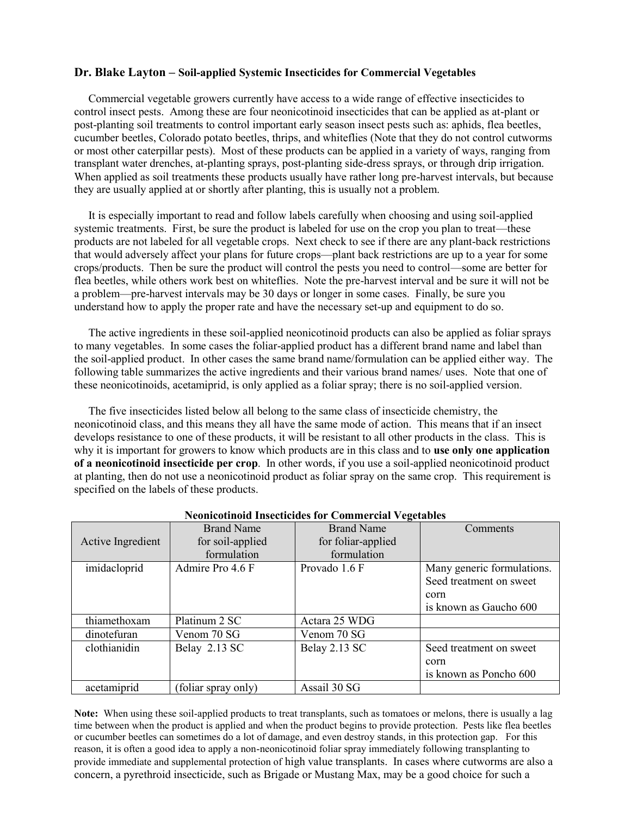## **Dr. Blake Layton – Soil-applied Systemic Insecticides for Commercial Vegetables**

 Commercial vegetable growers currently have access to a wide range of effective insecticides to control insect pests. Among these are four neonicotinoid insecticides that can be applied as at-plant or post-planting soil treatments to control important early season insect pests such as: aphids, flea beetles, cucumber beetles, Colorado potato beetles, thrips, and whiteflies (Note that they do not control cutworms or most other caterpillar pests). Most of these products can be applied in a variety of ways, ranging from transplant water drenches, at-planting sprays, post-planting side-dress sprays, or through drip irrigation. When applied as soil treatments these products usually have rather long pre-harvest intervals, but because they are usually applied at or shortly after planting, this is usually not a problem.

 It is especially important to read and follow labels carefully when choosing and using soil-applied systemic treatments. First, be sure the product is labeled for use on the crop you plan to treat—these products are not labeled for all vegetable crops. Next check to see if there are any plant-back restrictions that would adversely affect your plans for future crops—plant back restrictions are up to a year for some crops/products. Then be sure the product will control the pests you need to control—some are better for flea beetles, while others work best on whiteflies. Note the pre-harvest interval and be sure it will not be a problem—pre-harvest intervals may be 30 days or longer in some cases. Finally, be sure you understand how to apply the proper rate and have the necessary set-up and equipment to do so.

 The active ingredients in these soil-applied neonicotinoid products can also be applied as foliar sprays to many vegetables. In some cases the foliar-applied product has a different brand name and label than the soil-applied product. In other cases the same brand name/formulation can be applied either way. The following table summarizes the active ingredients and their various brand names/ uses. Note that one of these neonicotinoids, acetamiprid, is only applied as a foliar spray; there is no soil-applied version.

 The five insecticides listed below all belong to the same class of insecticide chemistry, the neonicotinoid class, and this means they all have the same mode of action. This means that if an insect develops resistance to one of these products, it will be resistant to all other products in the class. This is why it is important for growers to know which products are in this class and to **use only one application of a neonicotinoid insecticide per crop**. In other words, if you use a soil-applied neonicotinoid product at planting, then do not use a neonicotinoid product as foliar spray on the same crop. This requirement is specified on the labels of these products.

|                   | <b>Brand Name</b>   | <b>Brand Name</b>  | Comments                   |
|-------------------|---------------------|--------------------|----------------------------|
| Active Ingredient | for soil-applied    | for foliar-applied |                            |
|                   | formulation         | formulation        |                            |
| imidacloprid      | Admire Pro 4.6 F    | Provado 1.6 F      | Many generic formulations. |
|                   |                     |                    | Seed treatment on sweet    |
|                   |                     |                    | corn                       |
|                   |                     |                    | is known as Gaucho 600     |
| thiamethoxam      | Platinum 2 SC       | Actara 25 WDG      |                            |
| dinotefuran       | Venom 70 SG         | Venom 70 SG        |                            |
| clothianidin      | Belay 2.13 SC       | Belay 2.13 SC      | Seed treatment on sweet    |
|                   |                     |                    | corn                       |
|                   |                     |                    | is known as Poncho 600     |
| acetamiprid       | (foliar spray only) | Assail 30 SG       |                            |

#### **Neonicotinoid Insecticides for Commercial Vegetables**

**Note:** When using these soil-applied products to treat transplants, such as tomatoes or melons, there is usually a lag time between when the product is applied and when the product begins to provide protection. Pests like flea beetles or cucumber beetles can sometimes do a lot of damage, and even destroy stands, in this protection gap. For this reason, it is often a good idea to apply a non-neonicotinoid foliar spray immediately following transplanting to provide immediate and supplemental protection of high value transplants. In cases where cutworms are also a concern, a pyrethroid insecticide, such as Brigade or Mustang Max, may be a good choice for such a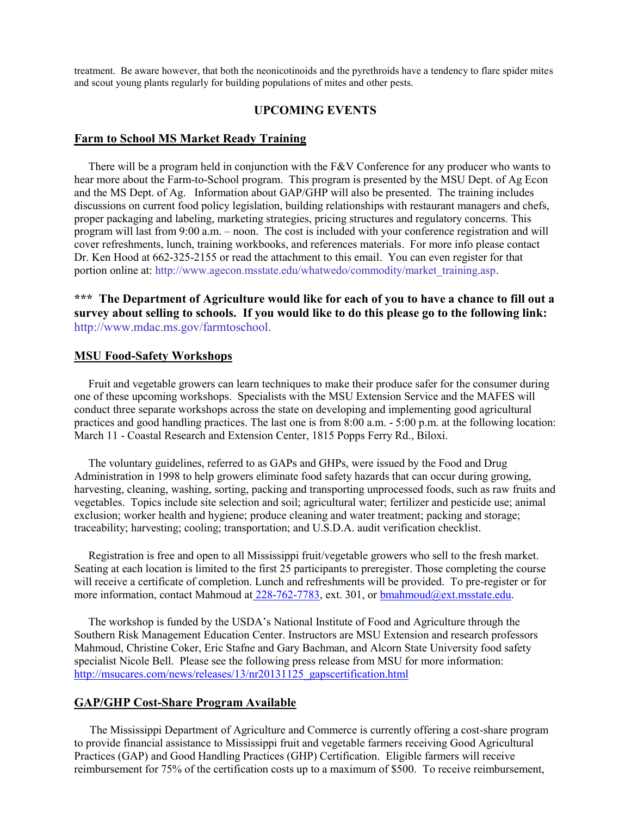treatment. Be aware however, that both the neonicotinoids and the pyrethroids have a tendency to flare spider mites and scout young plants regularly for building populations of mites and other pests.

## **UPCOMING EVENTS**

#### **Farm to School MS Market Ready Training**

There will be a program held in conjunction with the  $F&V$  Conference for any producer who wants to hear more about the Farm-to-School program. This program is presented by the MSU Dept. of Ag Econ and the MS Dept. of Ag. Information about GAP/GHP will also be presented. The training includes discussions on current food policy legislation, building relationships with restaurant managers and chefs, proper packaging and labeling, marketing strategies, pricing structures and regulatory concerns. This program will last from 9:00 a.m. – noon. The cost is included with your conference registration and will cover refreshments, lunch, training workbooks, and references materials. For more info please contact Dr. Ken Hood at 662-325-2155 or read the attachment to this email. You can even register for that portion online at: [http://www.agecon.msstate.edu/whatwedo/commodity/market\\_training.asp.](http://www.agecon.msstate.edu/whatwedo/commodity/market_training.asp)

**\*\*\* The Department of Agriculture would like for each of you to have a chance to fill out a survey about selling to schools. If you would like to do this please go to the following link:** [http://www.mdac.ms.gov/farmtoschool.](http://www.mdac.ms.gov/farmtoschool)

## **MSU Food-Safety Workshops**

 Fruit and vegetable growers can learn techniques to make their produce safer for the consumer during one of these upcoming workshops. Specialists with the MSU Extension Service and the MAFES will conduct three separate workshops across the state on developing and implementing good agricultural practices and good handling practices. The last one is from 8:00 a.m. - 5:00 p.m. at the following location: March 11 - Coastal Research and Extension Center, 1815 Popps Ferry Rd., Biloxi.

 The voluntary guidelines, referred to as GAPs and GHPs, were issued by the Food and Drug Administration in 1998 to help growers eliminate food safety hazards that can occur during growing, harvesting, cleaning, washing, sorting, packing and transporting unprocessed foods, such as raw fruits and vegetables. Topics include site selection and soil; agricultural water; fertilizer and pesticide use; animal exclusion; worker health and hygiene; produce cleaning and water treatment; packing and storage; traceability; harvesting; cooling; transportation; and U.S.D.A. audit verification checklist.

 Registration is free and open to all Mississippi fruit/vegetable growers who sell to the fresh market. Seating at each location is limited to the first 25 participants to preregister. Those completing the course will receive a certificate of completion. Lunch and refreshments will be provided. To pre-register or for more information, contact Mahmoud at [228-762-7783,](callto:228-762-7783) ext. 301, or [bmahmoud@ext.msstate.edu.](mailto:bmahmoud@ext.msstate.edu)

 The workshop is funded by the USDA's National Institute of Food and Agriculture through the Southern Risk Management Education Center. Instructors are MSU Extension and research professors Mahmoud, Christine Coker, Eric Stafne and Gary Bachman, and Alcorn State University food safety specialist Nicole Bell. Please see the following press release from MSU for more information: [http://msucares.com/news/releases/13/nr20131125\\_gapscertification.html](http://msucares.com/news/releases/13/nr20131125_gapscertification.html) 

#### **GAP/GHP Cost-Share Program Available**

 The Mississippi Department of Agriculture and Commerce is currently offering a cost-share program to provide financial assistance to Mississippi fruit and vegetable farmers receiving Good Agricultural Practices (GAP) and Good Handling Practices (GHP) Certification. Eligible farmers will receive reimbursement for 75% of the certification costs up to a maximum of \$500. To receive reimbursement,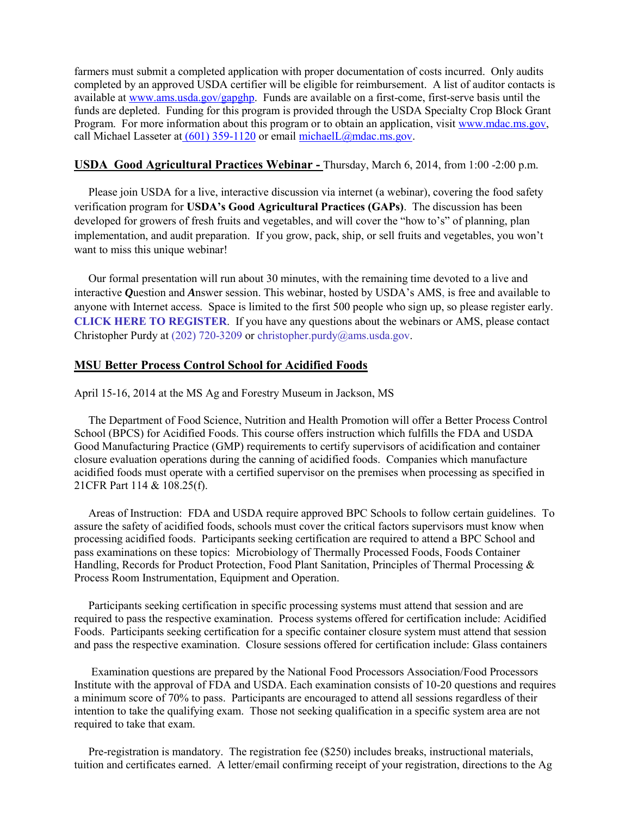farmers must submit a completed application with proper documentation of costs incurred. Only audits completed by an approved USDA certifier will be eligible for reimbursement. A list of auditor contacts is available at [www.ams.usda.gov/gapghp.](http://www.ams.usda.gov/gapghp) Funds are available on a first-come, first-serve basis until the funds are depleted. Funding for this program is provided through the USDA Specialty Crop Block Grant Program. For more information about this program or to obtain an application, visi[t www.mdac.ms.gov,](http://www.mdac.ms.gov/) call Michael Lasseter a[t \(601\) 359-1120](callto:%28601%29%20359-1120) or email [michaelL@mdac.ms.gov.](mailto:michaelL@mdac.ms.gov)

## **USDA Good Agricultural Practices Webinar -** Thursday, March 6, 2014, from 1:00 -2:00 p.m.

 Please join USDA for a live, interactive discussion via internet (a webinar), covering the food safety verification program for **USDA's Good Agricultural Practices (GAPs)**. The discussion has been developed for growers of fresh fruits and vegetables, and will cover the "how to's" of planning, plan implementation, and audit preparation. If you grow, pack, ship, or sell fruits and vegetables, you won't want to miss this unique webinar!

 Our formal presentation will run about 30 minutes, with the remaining time devoted to a live and interactive *Q*uestion and *A*nswer session. This webinar, hosted by USDA's AMS, is free and available to anyone with Internet access. Space is limited to the first 500 people who sign up, so please register early. **[CLICK HERE TO REGISTER](https://amsfv.webex.com/amsfv/onstage/g.php?t=a&d=666764790)**. If you have any questions about the webinars or AMS, please contact Christopher Purdy a[t \(202\) 720-3209](callto:%28202%29%20720-3209) or [christopher.purdy@ams.usda.gov.](mailto:christopher.purdy@ams.usda.gov)

## **MSU Better Process Control School for Acidified Foods**

April 15-16, 2014 at the MS Ag and Forestry Museum in Jackson, MS

 The Department of Food Science, Nutrition and Health Promotion will offer a Better Process Control School (BPCS) for Acidified Foods. This course offers instruction which fulfills the FDA and USDA Good Manufacturing Practice (GMP) requirements to certify supervisors of acidification and container closure evaluation operations during the canning of acidified foods. Companies which manufacture acidified foods must operate with a certified supervisor on the premises when processing as specified in 21CFR Part 114 & 108.25(f).

 Areas of Instruction: FDA and USDA require approved BPC Schools to follow certain guidelines. To assure the safety of acidified foods, schools must cover the critical factors supervisors must know when processing acidified foods. Participants seeking certification are required to attend a BPC School and pass examinations on these topics: Microbiology of Thermally Processed Foods, Foods Container Handling, Records for Product Protection, Food Plant Sanitation, Principles of Thermal Processing & Process Room Instrumentation, Equipment and Operation.

 Participants seeking certification in specific processing systems must attend that session and are required to pass the respective examination. Process systems offered for certification include: Acidified Foods. Participants seeking certification for a specific container closure system must attend that session and pass the respective examination. Closure sessions offered for certification include: Glass containers

 Examination questions are prepared by the National Food Processors Association/Food Processors Institute with the approval of FDA and USDA. Each examination consists of 10-20 questions and requires a minimum score of 70% to pass. Participants are encouraged to attend all sessions regardless of their intention to take the qualifying exam. Those not seeking qualification in a specific system area are not required to take that exam.

Pre-registration is mandatory. The registration fee (\$250) includes breaks, instructional materials, tuition and certificates earned. A letter/email confirming receipt of your registration, directions to the Ag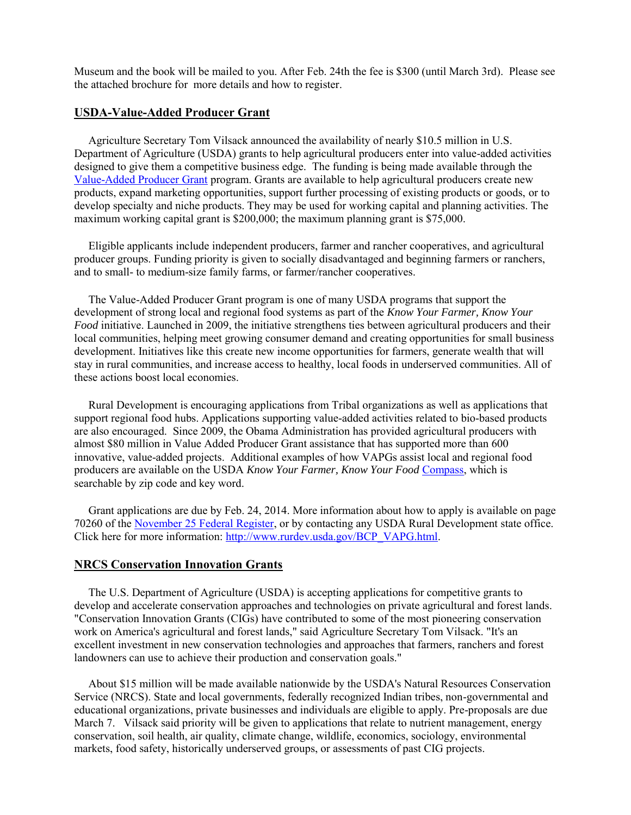Museum and the book will be mailed to you. After Feb. 24th the fee is \$300 (until March 3rd). Please see the attached brochure for more details and how to register.

## **USDA-Value-Added Producer Grant**

 Agriculture Secretary Tom Vilsack announced the availability of nearly \$10.5 million in U.S. Department of Agriculture (USDA) grants to help agricultural producers enter into value-added activities designed to give them a competitive business edge. The funding is being made available through the [Value-Added Producer Grant](http://links.govdelivery.com/track?type=click&enid=ZWFzPTEmbWFpbGluZ2lkPTIwMTMxMTI1LjI1NjY4OTcxJm1lc3NhZ2VpZD1NREItUFJELUJVTC0yMDEzMTEyNS4yNTY2ODk3MSZkYXRhYmFzZWlkPTEwMDEmc2VyaWFsPTE3ODg3OTI5JmVtYWlsaWQ9c3VzYW5AbWRhYy5tcy5nb3YmdXNlcmlkPXN1c2FuQG1kYWMubXMuZ292JmZsPSZleHRyYT1NdWx0aXZhcmlhdGVJZD0mJiY=&&&101&&&http://www.rurdev.usda.gov/BCP_VAPG.html) program. Grants are available to help agricultural producers create new products, expand marketing opportunities, support further processing of existing products or goods, or to develop specialty and niche products. They may be used for working capital and planning activities. The maximum working capital grant is \$200,000; the maximum planning grant is \$75,000.

 Eligible applicants include independent producers, farmer and rancher cooperatives, and agricultural producer groups. Funding priority is given to socially disadvantaged and beginning farmers or ranchers, and to small- to medium-size family farms, or farmer/rancher cooperatives.

 The Value-Added Producer Grant program is one of many USDA programs that support the development of strong local and regional food systems as part of the *Know Your Farmer, Know Your Food* initiative. Launched in 2009, the initiative strengthens ties between agricultural producers and their local communities, helping meet growing consumer demand and creating opportunities for small business development. Initiatives like this create new income opportunities for farmers, generate wealth that will stay in rural communities, and increase access to healthy, local foods in underserved communities. All of these actions boost local economies.

 Rural Development is encouraging applications from Tribal organizations as well as applications that support regional food hubs. Applications supporting value-added activities related to bio-based products are also encouraged. Since 2009, the Obama Administration has provided agricultural producers with almost \$80 million in Value Added Producer Grant assistance that has supported more than 600 innovative, value-added projects. Additional examples of how VAPGs assist local and regional food producers are available on the USDA *Know Your Farmer, Know Your Food* [Compass,](http://links.govdelivery.com/track?type=click&enid=ZWFzPTEmbWFpbGluZ2lkPTIwMTMxMTI1LjI1NjY4OTcxJm1lc3NhZ2VpZD1NREItUFJELUJVTC0yMDEzMTEyNS4yNTY2ODk3MSZkYXRhYmFzZWlkPTEwMDEmc2VyaWFsPTE3ODg3OTI5JmVtYWlsaWQ9c3VzYW5AbWRhYy5tcy5nb3YmdXNlcmlkPXN1c2FuQG1kYWMubXMuZ292JmZsPSZleHRyYT1NdWx0aXZhcmlhdGVJZD0mJiY=&&&103&&&http://www.usda.gov/wps/portal/usda/usdahome?navid=KYF_COMPASS) which is searchable by zip code and key word.

 Grant applications are due by Feb. 24, 2014. More information about how to apply is available on page 70260 of the [November 25 Federal Register,](http://links.govdelivery.com/track?type=click&enid=ZWFzPTEmbWFpbGluZ2lkPTIwMTMxMTI1LjI1NjY4OTcxJm1lc3NhZ2VpZD1NREItUFJELUJVTC0yMDEzMTEyNS4yNTY2ODk3MSZkYXRhYmFzZWlkPTEwMDEmc2VyaWFsPTE3ODg3OTI5JmVtYWlsaWQ9c3VzYW5AbWRhYy5tcy5nb3YmdXNlcmlkPXN1c2FuQG1kYWMubXMuZ292JmZsPSZleHRyYT1NdWx0aXZhcmlhdGVJZD0mJiY=&&&104&&&http://www.gpo.gov/fdsys/pkg/FR-2013-11-25/pdf/2013-28175.pdf) or by contacting any USDA Rural Development state office. Click here for more information: [http://www.rurdev.usda.gov/BCP\\_VAPG.html.](http://www.rurdev.usda.gov/BCP_VAPG.html)

#### **NRCS Conservation Innovation Grants**

 The U.S. Department of Agriculture (USDA) is accepting applications for competitive grants to develop and accelerate conservation approaches and technologies on private agricultural and forest lands. "Conservation Innovation Grants (CIGs) have contributed to some of the most pioneering conservation work on America's agricultural and forest lands," said Agriculture Secretary Tom Vilsack. "It's an excellent investment in new conservation technologies and approaches that farmers, ranchers and forest landowners can use to achieve their production and conservation goals."

 About \$15 million will be made available nationwide by the USDA's Natural Resources Conservation Service (NRCS). State and local governments, federally recognized Indian tribes, non-governmental and educational organizations, private businesses and individuals are eligible to apply. Pre-proposals are due March 7. Vilsack said priority will be given to applications that relate to nutrient management, energy conservation, soil health, air quality, climate change, wildlife, economics, sociology, environmental markets, food safety, historically underserved groups, or assessments of past CIG projects.